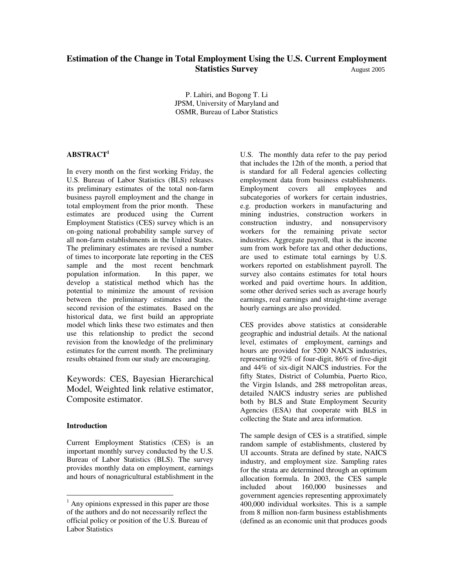# **Estimation of the Change in Total Employment Using the U.S. Current Employment Statistics Survey August 2005**

P. Lahiri, and Bogong T. Li JPSM, University of Maryland and OSMR, Bureau of Labor Statistics

# **ABSTRACT1**

In every month on the first working Friday, the U.S. Bureau of Labor Statistics (BLS) releases its preliminary estimates of the total non-farm business payroll employment and the change in total employment from the prior month. These estimates are produced using the Current Employment Statistics (CES) survey which is an on-going national probability sample survey of all non-farm establishments in the United States. The preliminary estimates are revised a number of times to incorporate late reporting in the CES sample and the most recent benchmark population information. In this paper, we develop a statistical method which has the potential to minimize the amount of revision between the preliminary estimates and the second revision of the estimates. Based on the historical data, we first build an appropriate model which links these two estimates and then use this relationship to predict the second revision from the knowledge of the preliminary estimates for the current month. The preliminary results obtained from our study are encouraging.

Keywords: CES, Bayesian Hierarchical Model, Weighted link relative estimator, Composite estimator.

### **Introduction**

Current Employment Statistics (CES) is an important monthly survey conducted by the U.S. Bureau of Labor Statistics (BLS). The survey provides monthly data on employment, earnings and hours of nonagricultural establishment in the U.S. The monthly data refer to the pay period that includes the 12th of the month, a period that is standard for all Federal agencies collecting employment data from business establishments. Employment covers all employees and subcategories of workers for certain industries, e.g. production workers in manufacturing and mining industries, construction workers in construction industry, and nonsupervisory workers for the remaining private sector industries. Aggregate payroll, that is the income sum from work before tax and other deductions, are used to estimate total earnings by U.S. workers reported on establishment payroll. The survey also contains estimates for total hours worked and paid overtime hours. In addition, some other derived series such as average hourly earnings, real earnings and straight-time average hourly earnings are also provided.

CES provides above statistics at considerable geographic and industrial details. At the national level, estimates of employment, earnings and hours are provided for 5200 NAICS industries, representing 92% of four-digit, 86% of five-digit and 44% of six-digit NAICS industries. For the fifty States, District of Columbia, Puerto Rico, the Virgin Islands, and 288 metropolitan areas, detailed NAICS industry series are published both by BLS and State Employment Security Agencies (ESA) that cooperate with BLS in collecting the State and area information.

The sample design of CES is a stratified, simple random sample of establishments, clustered by UI accounts. Strata are defined by state, NAICS industry, and employment size. Sampling rates for the strata are determined through an optimum allocation formula. In 2003, the CES sample included about 160,000 businesses and government agencies representing approximately 400,000 individual worksites. This is a sample from 8 million non-farm business establishments (defined as an economic unit that produces goods

<sup>&</sup>lt;sup>1</sup> Any opinions expressed in this paper are those of the authors and do not necessarily reflect the official policy or position of the U.S. Bureau of Labor Statistics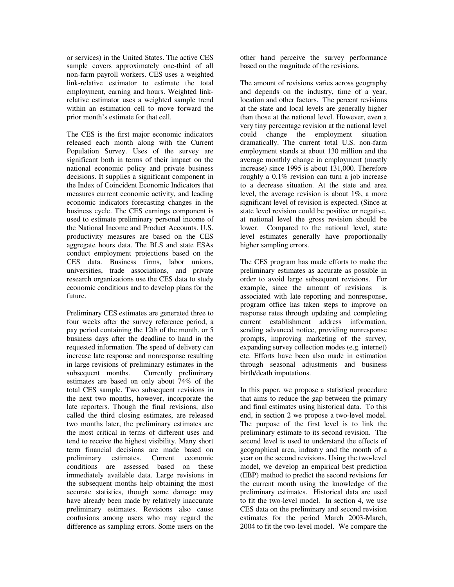or services) in the United States. The active CES sample covers approximately one-third of all non-farm payroll workers. CES uses a weighted link-relative estimator to estimate the total employment, earning and hours. Weighted linkrelative estimator uses a weighted sample trend within an estimation cell to move forward the prior month's estimate for that cell.

The CES is the first major economic indicators released each month along with the Current Population Survey. Uses of the survey are significant both in terms of their impact on the national economic policy and private business decisions. It supplies a significant component in the Index of Coincident Economic Indicators that measures current economic activity, and leading economic indicators forecasting changes in the business cycle. The CES earnings component is used to estimate preliminary personal income of the National Income and Product Accounts. U.S. productivity measures are based on the CES aggregate hours data. The BLS and state ESAs conduct employment projections based on the CES data. Business firms, labor unions, universities, trade associations, and private research organizations use the CES data to study economic conditions and to develop plans for the future.

Preliminary CES estimates are generated three to four weeks after the survey reference period, a pay period containing the 12th of the month, or 5 business days after the deadline to hand in the requested information. The speed of delivery can increase late response and nonresponse resulting in large revisions of preliminary estimates in the subsequent months. Currently preliminary estimates are based on only about 74% of the total CES sample. Two subsequent revisions in the next two months, however, incorporate the late reporters. Though the final revisions, also called the third closing estimates, are released two months later, the preliminary estimates are the most critical in terms of different uses and tend to receive the highest visibility. Many short term financial decisions are made based on preliminary estimates. Current economic conditions are assessed based on these immediately available data. Large revisions in the subsequent months help obtaining the most accurate statistics, though some damage may have already been made by relatively inaccurate preliminary estimates. Revisions also cause confusions among users who may regard the difference as sampling errors. Some users on the

other hand perceive the survey performance based on the magnitude of the revisions.

The amount of revisions varies across geography and depends on the industry, time of a year, location and other factors. The percent revisions at the state and local levels are generally higher than those at the national level. However, even a very tiny percentage revision at the national level could change the employment situation dramatically. The current total U.S. non-farm employment stands at about 130 million and the average monthly change in employment (mostly increase) since 1995 is about 131,000. Therefore roughly a 0.1% revision can turn a job increase to a decrease situation. At the state and area level, the average revision is about 1%, a more significant level of revision is expected. (Since at state level revision could be positive or negative, at national level the gross revision should be lower. Compared to the national level, state level estimates generally have proportionally higher sampling errors.

The CES program has made efforts to make the preliminary estimates as accurate as possible in order to avoid large subsequent revisions. For example, since the amount of revisions is associated with late reporting and nonresponse, program office has taken steps to improve on response rates through updating and completing current establishment address information, sending advanced notice, providing nonresponse prompts, improving marketing of the survey, expanding survey collection modes (e.g. internet) etc. Efforts have been also made in estimation through seasonal adjustments and business birth/death imputations.

In this paper, we propose a statistical procedure that aims to reduce the gap between the primary and final estimates using historical data. To this end, in section 2 we propose a two-level model. The purpose of the first level is to link the preliminary estimate to its second revision. The second level is used to understand the effects of geographical area, industry and the month of a year on the second revisions. Using the two-level model, we develop an empirical best prediction (EBP) method to predict the second revisions for the current month using the knowledge of the preliminary estimates. Historical data are used to fit the two-level model. In section 4, we use CES data on the preliminary and second revision estimates for the period March 2003-March, 2004 to fit the two-level model. We compare the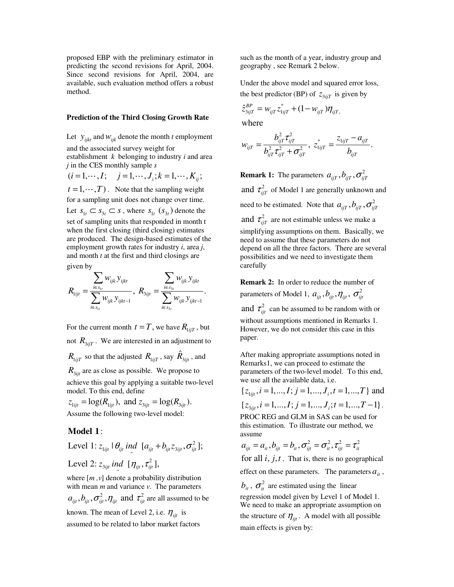proposed EBP with the preliminary estimator in predicting the second revisions for April, 2004. Since second revisions for April, 2004, are available, such evaluation method offers a robust method.

#### **Prediction of the Third Closing Growth Rate**

Let  $y_{iik}$  and  $w_{iik}$  denote the month *t* employment and the associated survey weight for establishment *k* belonging to industry *i* and area *j* in the CES monthly sample *s*

 $(i = 1, \dots, I; \quad j = 1, \dots, J_i; k = 1, \dots, K_{ij};$ <br>  $t = 1, \dots, T$ . Note that the sampling weightfor a sampling unit does not change over time  $t = 1, \dots, T$ . Note that the sampling weight  $t = 1, \dots, T$ . Note that the sampling weight<br>for a sampling unit does not change over time.<br>Let  $s_{1t} \subset s_{3t} \subset s$ , where  $s_{1t}$   $(s_{3t})$  denote the for a sampling unit does not change over time. set of sampling units that responded in month t when the first closing (third closing) estimates are produced. The design-based estimates of the employment growth rates for industry *i*, area *j*, and month *t* at the first and third closings are given by

$$
R_{1_{ijt}} = \frac{\displaystyle\sum_{i \in s_{1t}} w_{ijk} y_{ijkt}}{\displaystyle\sum_{i \in s_{1t}} w_{ijk} y_{ijkt-1}}, \ R_{3_{ijt}} = \frac{\displaystyle\sum_{i \in s_{3t}} w_{ijk} y_{ijkt}}{\displaystyle\sum_{i \in s_{3t}} w_{ijk} y_{ijkt-1}}.
$$

For the current month  $t = T$ , we have  $R_{1i/T}$ , but not  $R_{3i\bar{i}T}$ . We are interested in an adjustment to  $R_{1ijT}$  so that the adjusted  $R_{1ijT}$  , say  $\hat{R}_{3ijt}$  , and  $R_{3it}$  are as close as possible. We propose to

achieve this goal by applying a suitable two-level model. To this end, define

 $z_{1ijt} = \log(R_{1ijt}), \text{ and } z_{3ijt} = \log(R_{3ijt}).$ Assume the following two-level model:

# : **Model 1**

2 Level 1:  $z_{1ijt}$  |  $\theta_{ijt}$  *ind*  $[a_{ijt} + b_{ijt}z_{3ijt}, \sigma_{ijt}^2]$ ;

Level 2: 
$$
z_{3ijt}
$$
 *ind*  $[\eta_{ijt}, \tau_{ijt}^2]$ ,

where [*m ,v*] denote a probability distribution with mean *m* and variance *v*. The parameters  $a_{ii}$ ,  $b_{ii}$ ,  $\sigma_{ii}^2$ ,  $\eta_{ii}$  and  $\tau_{ii}^2$  are all assumed to be known. The mean of Level 2, i.e.  $\eta_{ijt}$  is

assumed to be related to labor market factors

such as the month of a year, industry group and geography , see Remark 2 below.

Under the above model and squared error loss, the best predictor (BP) of  $z_{3iT}$  is given by

$$
\hat{z}_{3ijT}^{BP} = w_{ijT} z_{1ijT}^* + (1 - w_{ijT}) \eta_{ijT},
$$

where

$$
w_{ijT} = \frac{b_{ijT}^2 \tau_{ijT}^2}{b_{ijT}^2 \tau_{ijT}^2 + \sigma_{ijT}^2}, \ z_{1ijT}^* = \frac{z_{1ijT} - a_{ijT}}{b_{ijT}}.
$$

**Remark 1:** The parameters  $a_{ijT}$ ,  $b_{ijT}$ ,  $\sigma_{ijT}^2$ and  $\tau_{ijT}^2$  of Model 1 are generally unknown and need to be estimated. Note that  $a_{i\bar{i}T}$ ,  $b_{i\bar{i}T}$ ,  $\sigma_{i\bar{i}T}^2$ and  $\tau_{\text{irT}}^2$  are not estimable unless we make a simplifying assumptions on them. Basically, we need to assume that these parameters do not depend on all the three factors. There are several possibilities and we need to investigate them carefully

**Remark 2:** In order to reduce the number of parameters of Model 1,  $a_{ii}$ ,  $b_{ii}$ ,  $\eta_{ii}$ ,  $\sigma_{ii}^2$ 

and  $\tau_{ii}^2$  can be assumed to be random with or without assumptions mentioned in Remarks 1. However, we do not consider this case in this paper.

After making appropriate assumptions noted in Remarks1, we can proceed to estimate the parameters of the two-level model. To this end, we use all the available data, i.e.

 $\{z_{1,ii}, i=1,\dots, I; j=1,\dots, J_i, t=1,\dots, T\}$  and

 ${ z_{3iii}, i = 1,..., I; j = 1,..., J_i; t = 1,..., T-1 }$ . PROC REG and GLM in SAS can be used for this estimation. To illustrate our method, we assume

$$
a_{ijt} = a_{it}, b_{ijt} = b_{it}, \sigma_{ijt}^2 = \sigma_{it}^2, \tau_{ijt}^2 = \tau_{it}^2
$$

for all  $i$ ,  $j$ , $t$ . That is, there is no geographical

effect on these parameters. The parameters  $a_{it}$ ,

 $b_{it}$ ,  $\sigma_{it}^2$  are estimated using the linear

regression model given by Level 1 of Model 1. We need to make an appropriate assumption on the structure of  $\eta_{ijt}$ . A model with all possible main effects is given by: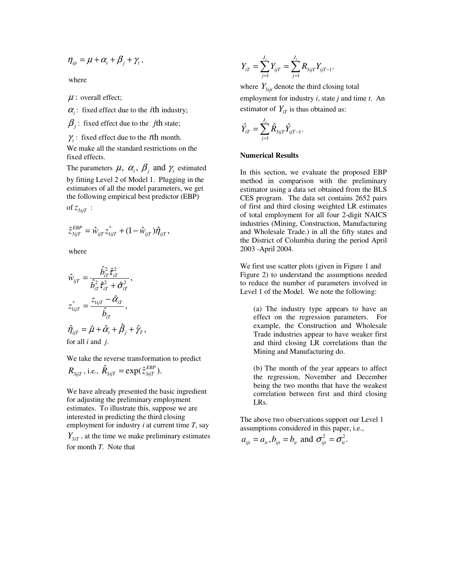$$
\eta_{ijt} = \mu + \alpha_i + \beta_j + \gamma_t,
$$

where

 $\mu$ : overall effect;

 $\alpha_i$ : fixed effect due to the *i*th industry;

 $\beta_i$ : fixed effect due to the *j*th state;

 $\gamma_t$ : fixed effect due to the *t*<sup>th</sup> month.

We make all the standard restrictions on the fixed effects.

The parameters  $\mu$ ,  $\alpha_i$ ,  $\beta_j$  and  $\gamma_t$  estimated

by fitting Level 2 of Model 1. Plugging in the estimators of all the model parameters, we get the following empirical best predictor (EBP)

of  $z_{3iiT}$  :

$$
\hat{z}_{3ijT}^{EBP} = \hat{w}_{ijT} z_{1ijT}^* + (1 - \hat{w}_{ijT}) \hat{\eta}_{ijT},
$$

where

$$
\hat{w}_{ijT} = \frac{\hat{b}_{iT}^2 \hat{\tau}_{iT}^2}{\hat{b}_{iT}^2 \hat{\tau}_{iT}^2 + \hat{\sigma}_{iT}^2},
$$
\n
$$
z_{1ijT}^* = \frac{z_{1ijT} - \hat{\alpha}_{iT}}{\hat{b}_{iT}},
$$
\n
$$
\hat{\eta}_{ijT} = \hat{\mu} + \hat{\alpha}_i + \hat{\beta}_j + \hat{\gamma}_r,
$$
\nfor all *i* and *j*.

for all *i* and *j*.

We take the reverse transformation to predict

$$
R_{3ijT}
$$
, i.e.,  $\hat{R}_{3ijT} = \exp(\hat{z}_{3ijT}^{EBP})$ .

We have already presented the basic ingredient for adjusting the preliminary employment estimates. To illustrate this, suppose we are interested in predicting the third closing employment for industry *i* at current time *T*, say

 $Y_{3iT}$ , at the time we make preliminary estimates for month *T*. Note that

$$
Y_{iT} = \sum_{j=1}^{J_i} Y_{ijT} = \sum_{j=1}^{J_i} R_{3ijT} Y_{ijT-1}.
$$

where  $Y_{3it}$  denote the third closing total

employment for industry *i*, state *j* and time *t*. An estimator of  $Y_{iT}$  is thus obtained as:

$$
\hat{Y}_{iT} = \sum_{j=1}^{J_i} \hat{R}_{3ijT} \hat{Y}_{ijT-1}.
$$

## **Numerical Results**

In this section, we evaluate the proposed EBP method in comparison with the preliminary estimator using a data set obtained from the BLS CES program. The data set contains 2652 pairs of first and third closing weighted LR estimates of total employment for all four 2-digit NAICS industries (Mining, Construction, Manufacturing and Wholesale Trade.) in all the fifty states and the District of Columbia during the period April 2003 -April 2004.

We first use scatter plots (given in Figure 1 and Figure 2) to understand the assumptions needed to reduce the number of parameters involved in Level 1 of the Model. We note the following:

(a) The industry type appears to have an effect on the regression parameters. For example, the Construction and Wholesale Trade industries appear to have weaker first and third closing LR correlations than the Mining and Manufacturing do.

(b) The month of the year appears to affect the regression, November and December being the two months that have the weakest correlation between first and third closing LRs.

The above two observations support our Level 1 assumptions considered in this paper, i.e.,

$$
a_{ijt} = a_{it}
$$
,  $b_{ijt} = b_{it}$  and  $\sigma_{ijt}^2 = \sigma_{it}^2$ .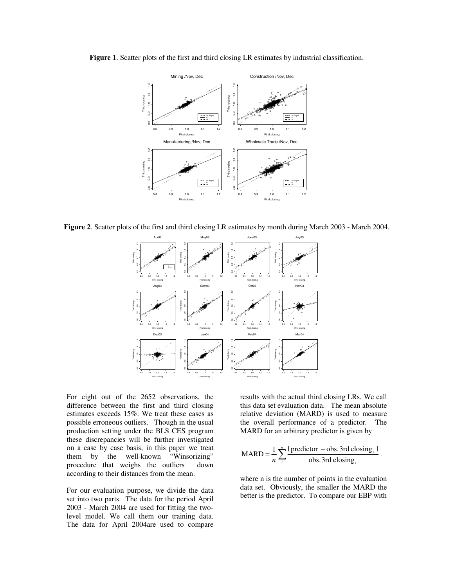

**Figure 1**. Scatter plots of the first and third closing LR estimates by industrial classification.

**Figure 2**. Scatter plots of the first and third closing LR estimates by month during March 2003 - March 2004.



For eight out of the 2652 observations, the difference between the first and third closing estimates exceeds 15%. We treat these cases as possible erroneous outliers. Though in the usual production setting under the BLS CES program these discrepancies will be further investigated on a case by case basis, in this paper we treat them by the well-known "Winsorizing" procedure that weighs the outliers down according to their distances from the mean.

For our evaluation purpose, we divide the data set into two parts. The data for the period April 2003 - March 2004 are used for fitting the twolevel model. We call them our training data. The data for April 2004are used to compare

results with the actual third closing LRs. We call this data set evaluation data. The mean absolute relative deviation (MARD) is used to measure the overall performance of a predictor. The MARD for an arbitrary predictor is given by

$$
MARD = \frac{1}{n} \sum_{i}^{n} \frac{|\text{predictor}_i - \text{obs.3rd closing}_i|}{\text{obs.3rd closing}_i}.
$$

where n is the number of points in the evaluation data set. Obviously, the smaller the MARD the better is the predictor. To compare our EBP with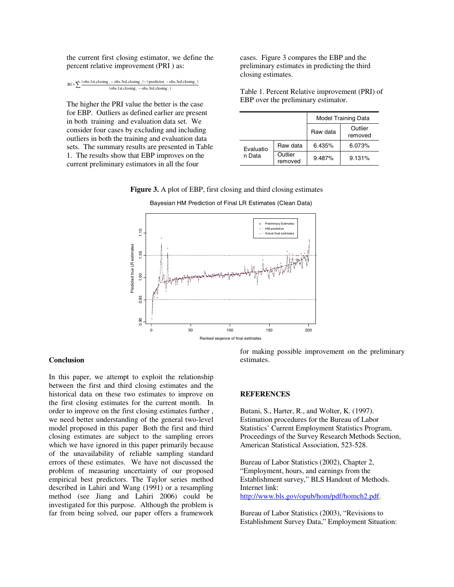the current first closing estimator, we define the percent relative improvement (PRI ) as:

| RI = $\sum_{i=1}^{n} \frac{ \text{obs.1st.closing}_i - \text{obs.3rd.closing}_i  -  \text{predictor}_i - \text{obs.3rd.closing}_i }{\sum_{i=1}^{n} \frac{ \text{obs.1st.closing}_i - \text{obs.3rd.closing}_i }{\sum_{i=1}^{n} \frac{ \text{obs.1st.closing}_i - \text{obs.3rd.closing}_i }{\sum_{i=1}^{n} \frac{ \text{obs.1st.closing}_i - \text{obs.3rd.closing}_i }{\sum_{i=1}^{n} \frac{ \text{obs.1st.closing}_i - \text{obs.3rd$ |
|-----------------------------------------------------------------------------------------------------------------------------------------------------------------------------------------------------------------------------------------------------------------------------------------------------------------------------------------------------------------------------------------------------------------------------------------|
| $\vert$ obs.1st.closing $-\text{obs.}3$ rd.closing $\vert$                                                                                                                                                                                                                                                                                                                                                                              |

The higher the PRI value the better is the case for EBP. Outliers as defined earlier are present in both training and evaluation data set. We consider four cases by excluding and including outliers in both the training and evaluation data sets. The summary results are presented in Table 1. The results show that EBP improves on the current preliminary estimators in all the four

cases. Figure 3 compares the EBP and the preliminary estimates in predicting the third closing estimates.

Table 1. Percent Relative improvement (PRI) of EBP over the preliminary estimator.

|           |                    | <b>Model Training Data</b> |                    |
|-----------|--------------------|----------------------------|--------------------|
|           |                    | Raw data                   | Outlier<br>removed |
| Evaluatio | Raw data           | 6.435%                     | 6.073%             |
| n Data    | Outlier<br>removed | 9.487%                     | 9.131%             |

**Figure 3.** A plot of EBP, first closing and third closing estimates



# Bayesian HM Prediction of Final LR Estimates (Clean Data)

### **Conclusion**

In this paper, we attempt to exploit the relationship between the first and third closing estimates and the historical data on these two estimates to improve on the first closing estimates for the current month. In order to improve on the first closing estimates further , we need better understanding of the general two-level model proposed in this paper Both the first and third closing estimates are subject to the sampling errors which we have ignored in this paper primarily because of the unavailability of reliable sampling standard errors of these estimates. We have not discussed the problem of measuring uncertainty of our proposed empirical best predictors. The Taylor series method described in Lahiri and Wang (1991) or a resampling method (see Jiang and Lahiri 2006) could be investigated for this purpose. Although the problem is far from being solved, our paper offers a framework

for making possible improvement on the preliminary estimates.

### **REFERENCES**

Butani, S., Harter, R., and Wolter, K. (1997). Estimation procedures for the Bureau of Labor Statistics' Current Employment Statistics Program, Proceedings of the Survey Research Methods Section, American Statistical Association, 523-528.

Bureau of Labor Statistics (2002), Chapter 2, "Employment, hours, and earnings from the Establishment survey," BLS Handout of Methods. Internet link: http://www.bls.gov/opub/hom/pdf/homch2.pdf.

Bureau of Labor Statistics (2003), "Revisions to Establishment Survey Data," Employment Situation: